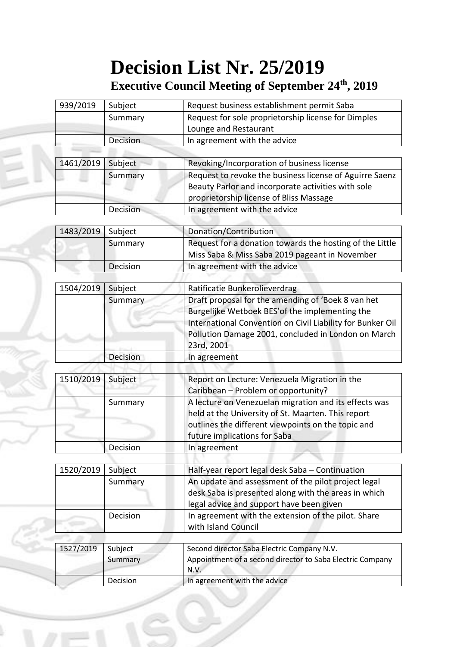## **Decision List Nr. 25/2019**

## **Executive Council Meeting of September 24th, 2019**

| Subject             | Request business establishment permit Saba                                                                                           |
|---------------------|--------------------------------------------------------------------------------------------------------------------------------------|
| Summary             | Request for sole proprietorship license for Dimples                                                                                  |
|                     | Lounge and Restaurant                                                                                                                |
| Decision            | In agreement with the advice                                                                                                         |
|                     |                                                                                                                                      |
|                     | Revoking/Incorporation of business license                                                                                           |
| Summary<br>Decision | Request to revoke the business license of Aguirre Saenz                                                                              |
|                     | Beauty Parlor and incorporate activities with sole                                                                                   |
|                     | proprietorship license of Bliss Massage                                                                                              |
|                     | In agreement with the advice                                                                                                         |
|                     |                                                                                                                                      |
|                     | Donation/Contribution                                                                                                                |
|                     | Request for a donation towards the hosting of the Little                                                                             |
|                     | Miss Saba & Miss Saba 2019 pageant in November                                                                                       |
|                     | In agreement with the advice                                                                                                         |
|                     |                                                                                                                                      |
|                     | Ratificatie Bunkerolieverdrag                                                                                                        |
| 1504/2019           | Draft proposal for the amending of 'Boek 8 van het                                                                                   |
|                     | Burgelijke Wetboek BES' of the implementing the                                                                                      |
|                     | International Convention on Civil Liability for Bunker Oil                                                                           |
|                     | Pollution Damage 2001, concluded in London on March                                                                                  |
|                     | 23rd, 2001                                                                                                                           |
|                     | In agreement                                                                                                                         |
|                     |                                                                                                                                      |
|                     | Report on Lecture: Venezuela Migration in the                                                                                        |
| 1510/2019           | Caribbean - Problem or opportunity?                                                                                                  |
| Summary             | A lecture on Venezuelan migration and its effects was                                                                                |
|                     | held at the University of St. Maarten. This report                                                                                   |
|                     | outlines the different viewpoints on the topic and                                                                                   |
|                     | future implications for Saba                                                                                                         |
|                     | In agreement                                                                                                                         |
|                     |                                                                                                                                      |
|                     | Half-year report legal desk Saba - Continuation                                                                                      |
|                     | An update and assessment of the pilot project legal                                                                                  |
|                     | desk Saba is presented along with the areas in which                                                                                 |
|                     |                                                                                                                                      |
|                     | legal advice and support have been given                                                                                             |
|                     | In agreement with the extension of the pilot. Share                                                                                  |
|                     | with Island Council                                                                                                                  |
|                     |                                                                                                                                      |
|                     |                                                                                                                                      |
| Subject             | Second director Saba Electric Company N.V.                                                                                           |
| Summary             | Appointment of a second director to Saba Electric Company<br>N.V.                                                                    |
|                     | Subject<br>Subject<br>Summary<br>Decision<br>Subject<br>Summary<br>Decision<br>Subject<br>Decision<br>Subject<br>Summary<br>Decision |